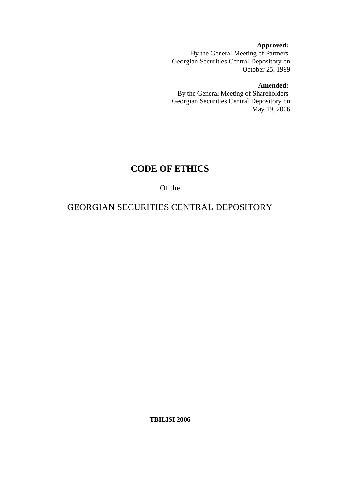**Approved:**  By the General Meeting of Partners Georgian Securities Central Depository on October 25, 1999

#### **Amended:**

By the General Meeting of Shareholders Georgian Securities Central Depository on May 19, 2006

# **CODE OF ETHICS**

## Of the

## GEORGIAN SECURITIES CENTRAL DEPOSITORY

**TBILISI 2006**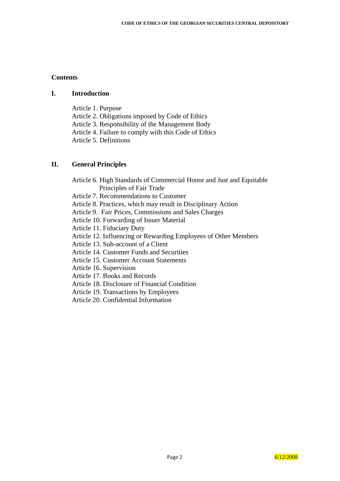#### **Contents**

#### **I. Introduction**

Article 1. Purpose Article 2. Obligations imposed by Code of Ethics Article 3. Responsibility of the Management Body Article 4. Failure to comply with this Code of Ethics Article 5. Definitions

#### **II. General Principles**

Article 6. High Standards of Commercial Honor and Just and Equitable Principles of Fair Trade Article 7. Recommendations to Customer Article 8. Practices, which may result in Disciplinary Action Article 9. Fair Prices, Commissions and Sales Charges Article 10. Forwarding of Issuer Material Article 11. Fiduciary Duty Article 12. Influencing or Rewarding Employees of Other Members Article 13. Sub-account of a Client Article 14. Customer Funds and Securities Article 15. Customer Account Statements Article 16. Supervision Article 17. Books and Records Article 18. Disclosure of Financial Condition

Article 19. Transactions by Employees

Article 20. Confidential Information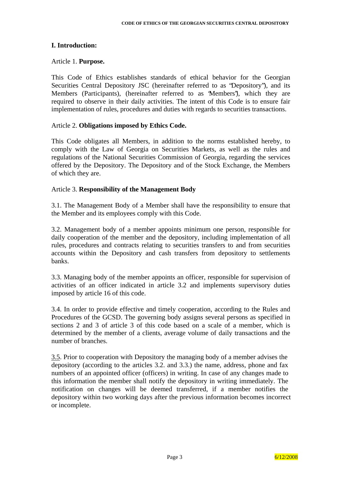## **I. Introduction:**

#### Article 1. **Purpose.**

This Code of Ethics establishes standards of ethical behavior for the Georgian Securities Central Depository JSC (hereinafter referred to as "Depository"), and its Members (Participants), (hereinafter referred to as "Members"), which they are required to observe in their daily activities. The intent of this Code is to ensure fair implementation of rules, procedures and duties with regards to securities transactions.

#### Article 2. **Obligations imposed by Ethics Code.**

This Code obligates all Members, in addition to the norms established hereby, to comply with the Law of Georgia on Securities Markets, as well as the rules and regulations of the National Securities Commission of Georgia, regarding the services offered by the Depository. The Depository and of the Stock Exchange, the Members of which they are.

#### Article 3. **Responsibility of the Management Body**

3.1. The Management Body of a Member shall have the responsibility to ensure that the Member and its employees comply with this Code.

3.2. Management body of a member appoints minimum one person, responsible for daily cooperation of the member and the depository, including implementation of all rules, procedures and contracts relating to securities transfers to and from securities accounts within the Depository and cash transfers from depository to settlements banks.

3.3. Managing body of the member appoints an officer, responsible for supervision of activities of an officer indicated in article 3.2 and implements supervisory duties imposed by article 16 of this code.

3.4. In order to provide effective and timely cooperation, according to the Rules and Procedures of the GCSD. The governing body assigns several persons as specified in sections 2 and 3 of article 3 of this code based on a scale of a member, which is determined by the member of a clients, average volume of daily transactions and the number of branches.

3.5. Prior to cooperation with Depository the managing body of a member advises the depository (according to the articles 3.2. and 3.3.) the name, address, phone and fax numbers of an appointed officer (officers) in writing. In case of any changes made to this information the member shall notify the depository in writing immediately. The notification on changes will be deemed transferred, if a member notifies the depository within two working days after the previous information becomes incorrect or incomplete.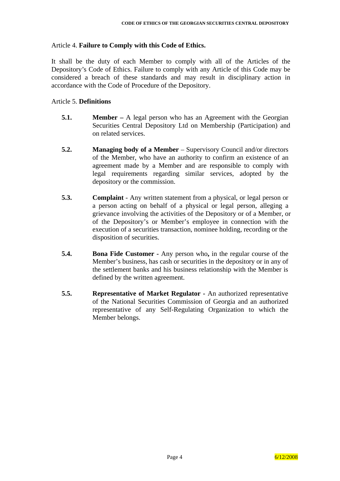## Article 4. **Failure to Comply with this Code of Ethics.**

It shall be the duty of each Member to comply with all of the Articles of the Depository's Code of Ethics. Failure to comply with any Article of this Code may be considered a breach of these standards and may result in disciplinary action in accordance with the Code of Procedure of the Depository.

## Article 5. **Definitions**

- **5.1. Member** A legal person who has an Agreement with the Georgian Securities Central Depository Ltd on Membership (Participation) and on related services.
- **5.2. Managing body of a Member** Supervisory Council and/or directors of the Member, who have an authority to confirm an existence of an agreement made by a Member and are responsible to comply with legal requirements regarding similar services, adopted by the depository or the commission.
- **5.3. Complaint** Any written statement from a physical, or legal person or a person acting on behalf of a physical or legal person, alleging a grievance involving the activities of the Depository or of a Member, or of the Depository's or Member's employee in connection with the execution of a securities transaction, nominee holding, recording or the disposition of securities.
- **5.4. Bona Fide Customer -** Any person who**,** in the regular course of the Member's business, has cash or securities in the depository or in any of the settlement banks and his business relationship with the Member is defined by the written agreement.
- **5.5. Representative of Market Regulator -** An authorized representative of the National Securities Commission of Georgia and an authorized representative of any Self-Regulating Organization to which the Member belongs.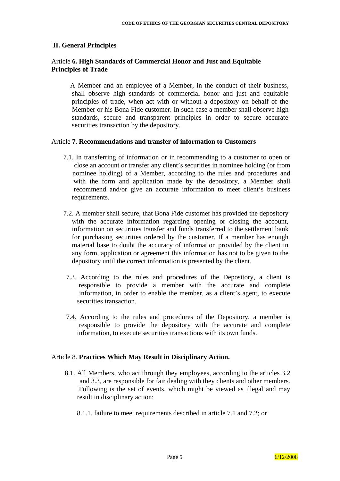#### **II. General Principles**

## Article **6. High Standards of Commercial Honor and Just and Equitable Principles of Trade**

A Member and an employee of a Member, in the conduct of their business*,* shall observe high standards of commercial honor and just and equitable principles of trade, when act with or without a depository on behalf of the Member or his Bona Fide customer. In such case a member shall observe high standards, secure and transparent principles in order to secure accurate securities transaction by the depository.

#### Article **7. Recommendations and transfer of information to Customers**

- 7.1. In transferring of information or in recommending to a customer to open or close an account or transfer any client's securities in nominee holding (or from nominee holding) of a Member, according to the rules and procedures and with the form and application made by the depository, a Member shall recommend and/or give an accurate information to meet client's business requirements.
- 7.2. A member shall secure, that Bona Fide customer has provided the depository with the accurate information regarding opening or closing the account, information on securities transfer and funds transferred to the settlement bank for purchasing securities ordered by the customer. If a member has enough material base to doubt the accuracy of information provided by the client in any form, application or agreement this information has not to be given to the depository until the correct information is presented by the client.
- 7.3. According to the rules and procedures of the Depository, a client is responsible to provide a member with the accurate and complete information, in order to enable the member, as a client's agent, to execute securities transaction.
- 7.4. According to the rules and procedures of the Depository, a member is responsible to provide the depository with the accurate and complete information, to execute securities transactions with its own funds.

#### Article 8. **Practices Which May Result in Disciplinary Action.**

- 8.1. All Members, who act through they employees, according to the articles 3.2 and 3.3, are responsible for fair dealing with they clients and other members. Following is the set of events, which might be viewed as illegal and may result in disciplinary action:
	- 8.1.1. failure to meet requirements described in article 7.1 and 7.2; or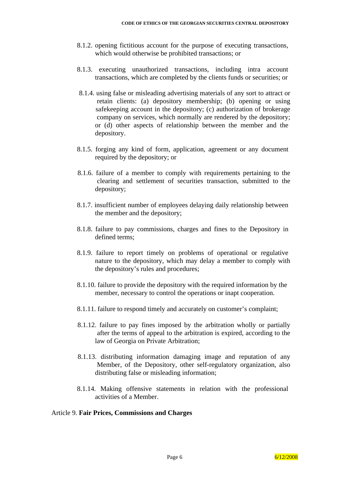- 8.1.2. opening fictitious account for the purpose of executing transactions, which would otherwise be prohibited transactions; or
- 8.1.3. executing unauthorized transactions, including intra account transactions, which are completed by the clients funds or securities; or
- 8.1.4. using false or misleading advertising materials of any sort to attract or retain clients: (a) depository membership; (b) opening or using safekeeping account in the depository; (c) authorization of brokerage company on services, which normally are rendered by the depository; or (d) other aspects of relationship between the member and the depository.
- 8.1.5. forging any kind of form, application, agreement or any document required by the depository; or
- 8.1.6. failure of a member to comply with requirements pertaining to the clearing and settlement of securities transaction, submitted to the depository;
- 8.1.7. insufficient number of employees delaying daily relationship between the member and the depository;
- 8.1.8. failure to pay commissions, charges and fines to the Depository in defined terms;
- 8.1.9. failure to report timely on problems of operational or regulative nature to the depository, which may delay a member to comply with the depository's rules and procedures;
- 8.1.10. failure to provide the depository with the required information by the member, necessary to control the operations or inapt cooperation.
- 8.1.11. failure to respond timely and accurately on customer's complaint;
- 8.1.12. failure to pay fines imposed by the arbitration wholly or partially after the terms of appeal to the arbitration is expired, according to the law of Georgia on Private Arbitration;
- 8.1.13. distributing information damaging image and reputation of any Member, of the Depository, other self-regulatory organization, also distributing false or misleading information;
- 8.1.14. Making offensive statements in relation with the professional activities of a Member.

#### Article 9. **Fair Prices, Commissions and Charges**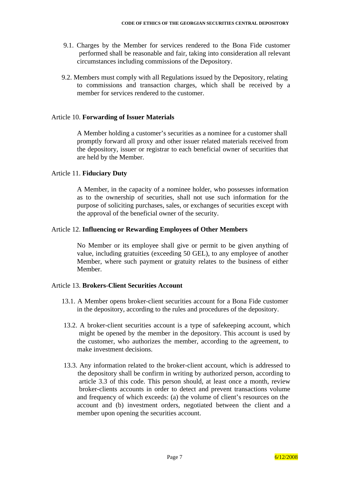- 9.1. Charges by the Member for services rendered to the Bona Fide customer performed shall be reasonable and fair, taking into consideration all relevant circumstances including commissions of the Depository.
- 9.2. Members must comply with all Regulations issued by the Depository, relating to commissions and transaction charges, which shall be received by a member for services rendered to the customer.

## Article 10. **Forwarding of Issuer Materials**

A Member holding a customer's securities as a nominee for a customer shall promptly forward all proxy and other issuer related materials received from the depository, issuer or registrar to each beneficial owner of securities that are held by the Member.

## Article 11. **Fiduciary Duty**

A Member, in the capacity of a nominee holder, who possesses information as to the ownership of securities, shall not use such information for the purpose of soliciting purchases, sales, or exchanges of securities except with the approval of the beneficial owner of the security.

## Article 12. **Influencing or Rewarding Employees of Other Members**

No Member or its employee shall give or permit to be given anything of value, including gratuities (exceeding 50 GEL), to any employee of another Member, where such payment or gratuity relates to the business of either Member.

#### Article 13. **Brokers-Client Securities Account**

- 13.1. A Member opens broker-client securities account for a Bona Fide customer in the depository, according to the rules and procedures of the depository.
- 13.2. A broker-client securities account is a type of safekeeping account, which might be opened by the member in the depository. This account is used by the customer, who authorizes the member, according to the agreement, to make investment decisions.
- 13.3. Any information related to the broker-client account, which is addressed to the depository shall be confirm in writing by authorized person, according to article 3.3 of this code. This person should, at least once a month, review broker-clients accounts in order to detect and prevent transactions volume and frequency of which exceeds: (a) the volume of client's resources on the account and (b) investment orders, negotiated between the client and a member upon opening the securities account.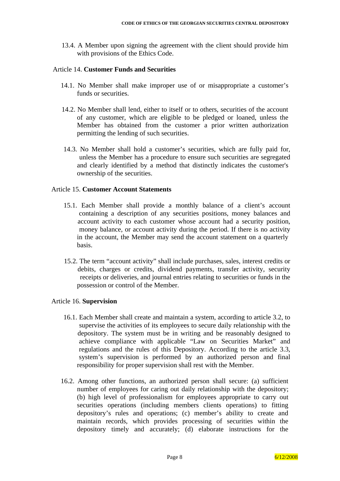13.4. A Member upon signing the agreement with the client should provide him with provisions of the Ethics Code.

#### Article 14. **Customer Funds and Securities**

- 14.1. No Member shall make improper use of or misappropriate a customer's funds or securities.
- 14.2. No Member shall lend, either to itself or to others, securities of the account of any customer, which are eligible to be pledged or loaned, unless the Member has obtained from the customer a prior written authorization permitting the lending of such securities.
- 14.3. No Member shall hold a customer's securities, which are fully paid for, unless the Member has a procedure to ensure such securities are segregated and clearly identified by a method that distinctly indicates the customer's ownership of the securities.

#### Article 15. **Customer Account Statements**

- 15.1. Each Member shall provide a monthly balance of a client's account containing a description of any securities positions, money balances and account activity to each customer whose account had a security position, money balance, or account activity during the period. If there is no activity in the account, the Member may send the account statement on a quarterly basis.
- 15.2. The term "account activity" shall include purchases, sales, interest credits or debits, charges or credits, dividend payments, transfer activity, security receipts or deliveries, and journal entries relating to securities or funds in the possession or control of the Member.

#### Article 16. **Supervision**

- 16.1. Each Member shall create and maintain a system, according to article 3.2, to supervise the activities of its employees to secure daily relationship with the depository. The system must be in writing and be reasonably designed to achieve compliance with applicable "Law on Securities Market" and regulations and the rules of this Depository. According to the article 3.3, system's supervision is performed by an authorized person and final responsibility for proper supervision shall rest with the Member.
- 16.2. Among other functions, an authorized person shall secure: (a) sufficient number of employees for caring out daily relationship with the depository; (b) high level of professionalism for employees appropriate to carry out securities operations (including members clients operations) to fitting depository's rules and operations; (c) member's ability to create and maintain records, which provides processing of securities within the depository timely and accurately; (d) elaborate instructions for the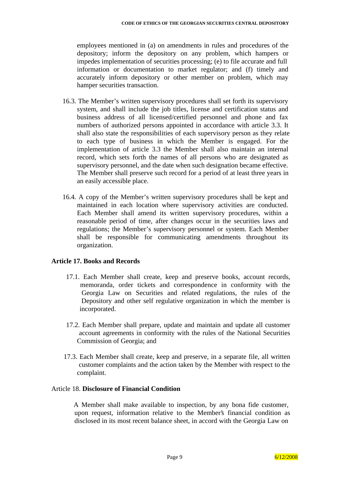employees mentioned in (a) on amendments in rules and procedures of the depository; inform the depository on any problem, which hampers or impedes implementation of securities processing; (e) to file accurate and full information or documentation to market regulator; and (f) timely and accurately inform depository or other member on problem, which may hamper securities transaction.

- 16.3. The Member's written supervisory procedures shall set forth its supervisory system, and shall include the job titles, license and certification status and business address of all licensed/certified personnel and phone and fax numbers of authorized persons appointed in accordance with article 3.3. It shall also state the responsibilities of each supervisory person as they relate to each type of business in which the Member is engaged. For the implementation of article 3.3 the Member shall also maintain an internal record, which sets forth the names of all persons who are designated as supervisory personnel, and the date when such designation became effective. The Member shall preserve such record for a period of at least three years in an easily accessible place.
- 16.4. A copy of the Member's written supervisory procedures shall be kept and maintained in each location where supervisory activities are conducted. Each Member shall amend its written supervisory procedures, within a reasonable period of time, after changes occur in the securities laws and regulations; the Member's supervisory personnel or system. Each Member shall be responsible for communicating amendments throughout its organization.

## **Article 17. Books and Records**

- 17.1. Each Member shall create, keep and preserve books, account records, memoranda, order tickets and correspondence in conformity with the Georgia Law on Securities and related regulations, the rules of the Depository and other self regulative organization in which the member is incorporated.
- 17.2. Each Member shall prepare, update and maintain and update all customer account agreements in conformity with the rules of the National Securities Commission of Georgia; and
- 17.3. Each Member shall create, keep and preserve, in a separate file, all written customer complaints and the action taken by the Member with respect to the complaint.

#### Article 18. **Disclosure of Financial Condition**

A Member shall make available to inspection, by any bona fide customer, upon request, information relative to the Member's financial condition as disclosed in its most recent balance sheet, in accord with the Georgia Law on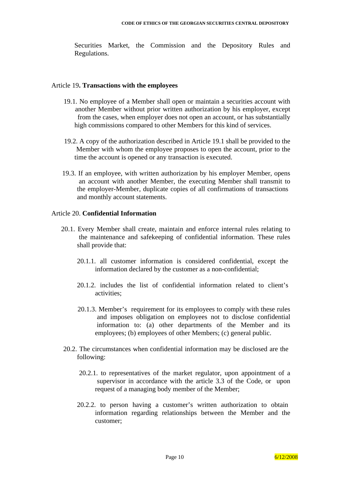Securities Market, the Commission and the Depository Rules and Regulations.

#### Article 19**. Transactions with the employees**

- 19.1. No employee of a Member shall open or maintain a securities account with another Member without prior written authorization by his employer, except from the cases, when employer does not open an account, or has substantially high commissions compared to other Members for this kind of services.
- 19.2. A copy of the authorization described in Article 19.1 shall be provided to the Member with whom the employee proposes to open the account, prior to the time the account is opened or any transaction is executed.
- 19.3. If an employee, with written authorization by his employer Member, opens an account with another Member, the executing Member shall transmit to the employer-Member, duplicate copies of all confirmations of transactions and monthly account statements.

#### Article 20. **Confidential Information**

- 20.1. Every Member shall create, maintain and enforce internal rules relating to the maintenance and safekeeping of confidential information. These rules shall provide that:
	- 20.1.1. all customer information is considered confidential, except the information declared by the customer as a non-confidential;
	- 20.1.2. includes the list of confidential information related to client's activities;
	- 20.1.3. Member's requirement for its employees to comply with these rules and imposes obligation on employees not to disclose confidential information to: (a) other departments of the Member and its employees; (b) employees of other Members; (c) general public.
- 20.2. The circumstances when confidential information may be disclosed are the following:
	- 20.2.1. to representatives of the market regulator, upon appointment of a supervisor in accordance with the article 3.3 of the Code, or upon request of a managing body member of the Member;
	- 20.2.2. to person having a customer's written authorization to obtain information regarding relationships between the Member and the customer;